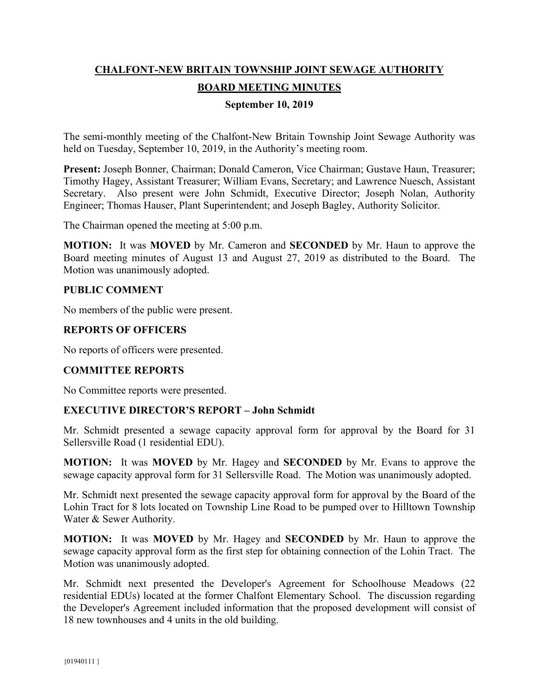# **CHALFONT-NEW BRITAIN TOWNSHIP JOINT SEWAGE AUTHORITY BOARD MEETING MINUTES**

## **September 10, 2019**

The semi-monthly meeting of the Chalfont-New Britain Township Joint Sewage Authority was held on Tuesday, September 10, 2019, in the Authority's meeting room.

**Present:** Joseph Bonner, Chairman; Donald Cameron, Vice Chairman; Gustave Haun, Treasurer; Timothy Hagey, Assistant Treasurer; William Evans, Secretary; and Lawrence Nuesch, Assistant Secretary. Also present were John Schmidt, Executive Director; Joseph Nolan, Authority Engineer; Thomas Hauser, Plant Superintendent; and Joseph Bagley, Authority Solicitor.

The Chairman opened the meeting at 5:00 p.m.

**MOTION:** It was **MOVED** by Mr. Cameron and **SECONDED** by Mr. Haun to approve the Board meeting minutes of August 13 and August 27, 2019 as distributed to the Board. The Motion was unanimously adopted.

#### **PUBLIC COMMENT**

No members of the public were present.

## **REPORTS OF OFFICERS**

No reports of officers were presented.

# **COMMITTEE REPORTS**

No Committee reports were presented.

#### **EXECUTIVE DIRECTOR'S REPORT – John Schmidt**

Mr. Schmidt presented a sewage capacity approval form for approval by the Board for 31 Sellersville Road (1 residential EDU).

**MOTION:** It was **MOVED** by Mr. Hagey and **SECONDED** by Mr. Evans to approve the sewage capacity approval form for 31 Sellersville Road. The Motion was unanimously adopted.

Mr. Schmidt next presented the sewage capacity approval form for approval by the Board of the Lohin Tract for 8 lots located on Township Line Road to be pumped over to Hilltown Township Water & Sewer Authority.

**MOTION:** It was **MOVED** by Mr. Hagey and **SECONDED** by Mr. Haun to approve the sewage capacity approval form as the first step for obtaining connection of the Lohin Tract. The Motion was unanimously adopted.

Mr. Schmidt next presented the Developer's Agreement for Schoolhouse Meadows (22 residential EDUs) located at the former Chalfont Elementary School. The discussion regarding the Developer's Agreement included information that the proposed development will consist of 18 new townhouses and 4 units in the old building.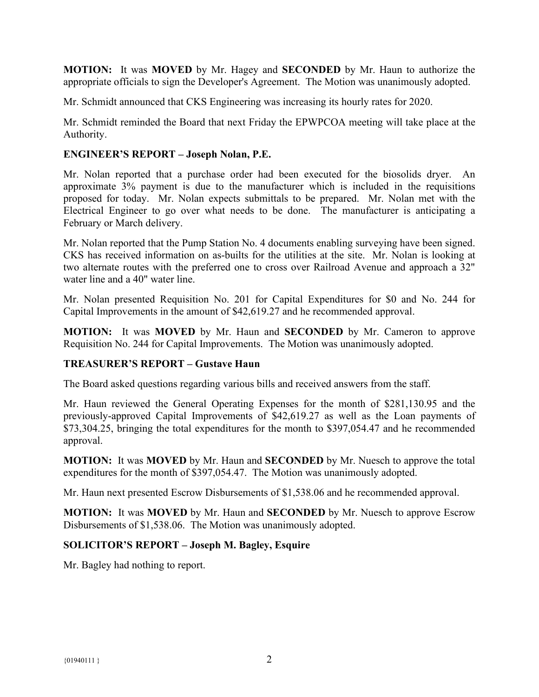**MOTION:** It was **MOVED** by Mr. Hagey and **SECONDED** by Mr. Haun to authorize the appropriate officials to sign the Developer's Agreement. The Motion was unanimously adopted.

Mr. Schmidt announced that CKS Engineering was increasing its hourly rates for 2020.

Mr. Schmidt reminded the Board that next Friday the EPWPCOA meeting will take place at the Authority.

## **ENGINEER'S REPORT – Joseph Nolan, P.E.**

Mr. Nolan reported that a purchase order had been executed for the biosolids dryer. An approximate 3% payment is due to the manufacturer which is included in the requisitions proposed for today. Mr. Nolan expects submittals to be prepared. Mr. Nolan met with the Electrical Engineer to go over what needs to be done. The manufacturer is anticipating a February or March delivery.

Mr. Nolan reported that the Pump Station No. 4 documents enabling surveying have been signed. CKS has received information on as-builts for the utilities at the site. Mr. Nolan is looking at two alternate routes with the preferred one to cross over Railroad Avenue and approach a 32" water line and a 40" water line.

Mr. Nolan presented Requisition No. 201 for Capital Expenditures for \$0 and No. 244 for Capital Improvements in the amount of \$42,619.27 and he recommended approval.

**MOTION:** It was **MOVED** by Mr. Haun and **SECONDED** by Mr. Cameron to approve Requisition No. 244 for Capital Improvements. The Motion was unanimously adopted.

#### **TREASURER'S REPORT – Gustave Haun**

The Board asked questions regarding various bills and received answers from the staff.

Mr. Haun reviewed the General Operating Expenses for the month of \$281,130.95 and the previously-approved Capital Improvements of \$42,619.27 as well as the Loan payments of \$73,304.25, bringing the total expenditures for the month to \$397,054.47 and he recommended approval.

**MOTION:** It was **MOVED** by Mr. Haun and **SECONDED** by Mr. Nuesch to approve the total expenditures for the month of \$397,054.47. The Motion was unanimously adopted.

Mr. Haun next presented Escrow Disbursements of \$1,538.06 and he recommended approval.

**MOTION:** It was **MOVED** by Mr. Haun and **SECONDED** by Mr. Nuesch to approve Escrow Disbursements of \$1,538.06. The Motion was unanimously adopted.

# **SOLICITOR'S REPORT – Joseph M. Bagley, Esquire**

Mr. Bagley had nothing to report.